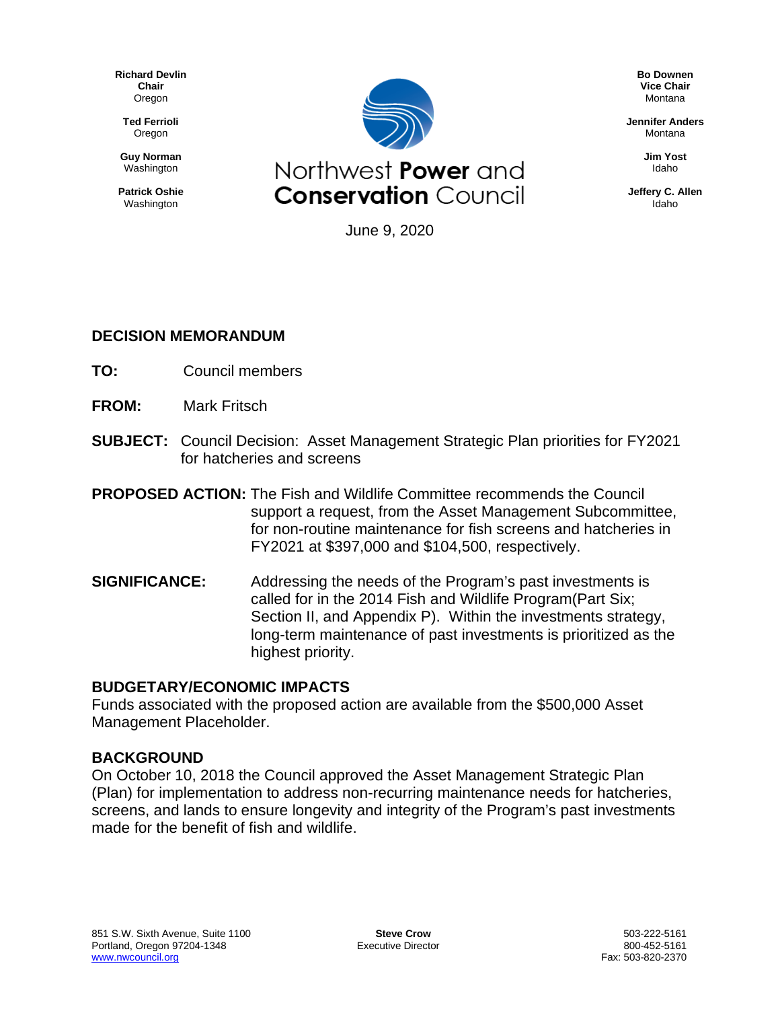**Richard Devlin Chair** Oregon

**Ted Ferrioli** Oregon

**Guy Norman** Washington

**Patrick Oshie** Washington



**Bo Downen Vice Chair** Montana

**Jennifer Anders** Montana

> **Jim Yost** Idaho

**Jeffery C. Allen** Idaho

June 9, 2020

#### **DECISION MEMORANDUM**

- **TO:** Council members
- **FROM:** Mark Fritsch
- **SUBJECT:** Council Decision: Asset Management Strategic Plan priorities for FY2021 for hatcheries and screens

**PROPOSED ACTION:** The Fish and Wildlife Committee recommends the Council support a request, from the Asset Management Subcommittee, for non-routine maintenance for fish screens and hatcheries in FY2021 at \$397,000 and \$104,500, respectively.

**SIGNIFICANCE:** Addressing the needs of the Program's past investments is called for in the 2014 Fish and Wildlife Program(Part Six; Section II, and Appendix P). Within the investments strategy, long-term maintenance of past investments is prioritized as the highest priority.

#### **BUDGETARY/ECONOMIC IMPACTS**

Funds associated with the proposed action are available from the \$500,000 Asset Management Placeholder.

#### **BACKGROUND**

On October 10, 2018 the Council approved the Asset Management Strategic Plan (Plan) for implementation to address non-recurring maintenance needs for hatcheries, screens, and lands to ensure longevity and integrity of the Program's past investments made for the benefit of fish and wildlife.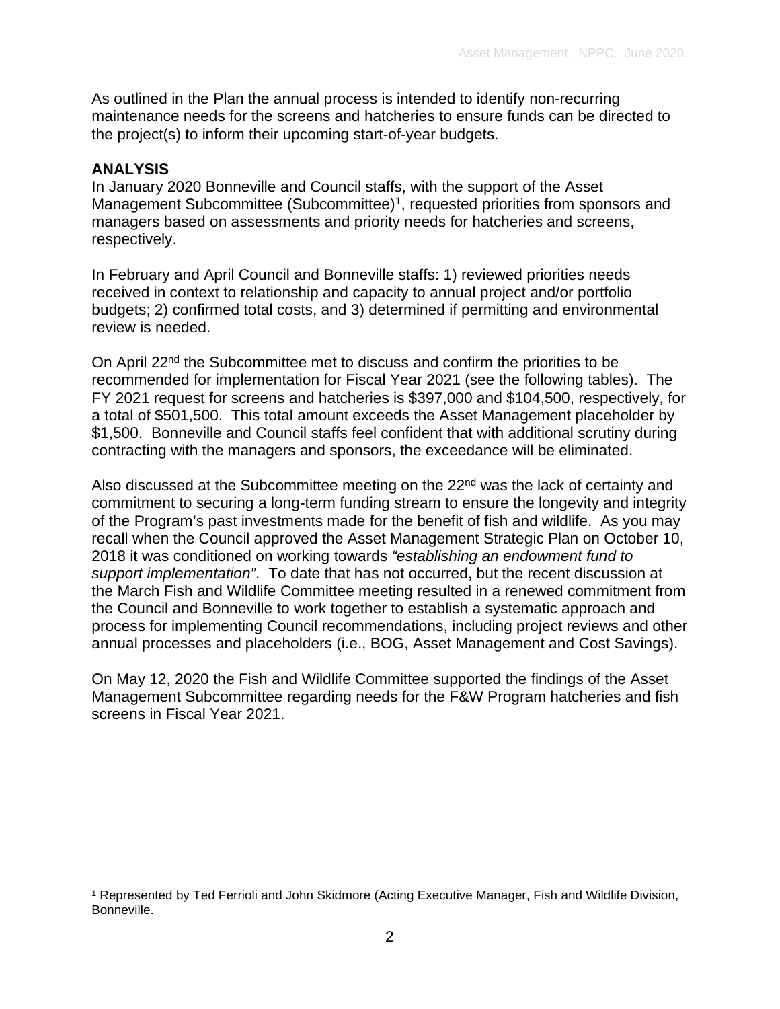As outlined in the Plan the annual process is intended to identify non-recurring maintenance needs for the screens and hatcheries to ensure funds can be directed to the project(s) to inform their upcoming start-of-year budgets.

#### **ANALYSIS**

In January 2020 Bonneville and Council staffs, with the support of the Asset Management Subcommittee (Subcommittee)<sup>[1](#page-1-0)</sup>, requested priorities from sponsors and managers based on assessments and priority needs for hatcheries and screens, respectively.

In February and April Council and Bonneville staffs: 1) reviewed priorities needs received in context to relationship and capacity to annual project and/or portfolio budgets; 2) confirmed total costs, and 3) determined if permitting and environmental review is needed.

On April 22nd the Subcommittee met to discuss and confirm the priorities to be recommended for implementation for Fiscal Year 2021 (see the following tables). The FY 2021 request for screens and hatcheries is \$397,000 and \$104,500, respectively, for a total of \$501,500. This total amount exceeds the Asset Management placeholder by \$1,500. Bonneville and Council staffs feel confident that with additional scrutiny during contracting with the managers and sponsors, the exceedance will be eliminated.

Also discussed at the Subcommittee meeting on the 22<sup>nd</sup> was the lack of certainty and commitment to securing a long-term funding stream to ensure the longevity and integrity of the Program's past investments made for the benefit of fish and wildlife. As you may recall when the Council approved the Asset Management Strategic Plan on October 10, 2018 it was conditioned on working towards *"establishing an endowment fund to support implementation"*. To date that has not occurred, but the recent discussion at the March Fish and Wildlife Committee meeting resulted in a renewed commitment from the Council and Bonneville to work together to establish a systematic approach and process for implementing Council recommendations, including project reviews and other annual processes and placeholders (i.e., BOG, Asset Management and Cost Savings).

On May 12, 2020 the Fish and Wildlife Committee supported the findings of the Asset Management Subcommittee regarding needs for the F&W Program hatcheries and fish screens in Fiscal Year 2021.

<span id="page-1-0"></span><sup>1</sup> Represented by Ted Ferrioli and John Skidmore (Acting Executive Manager, Fish and Wildlife Division, Bonneville.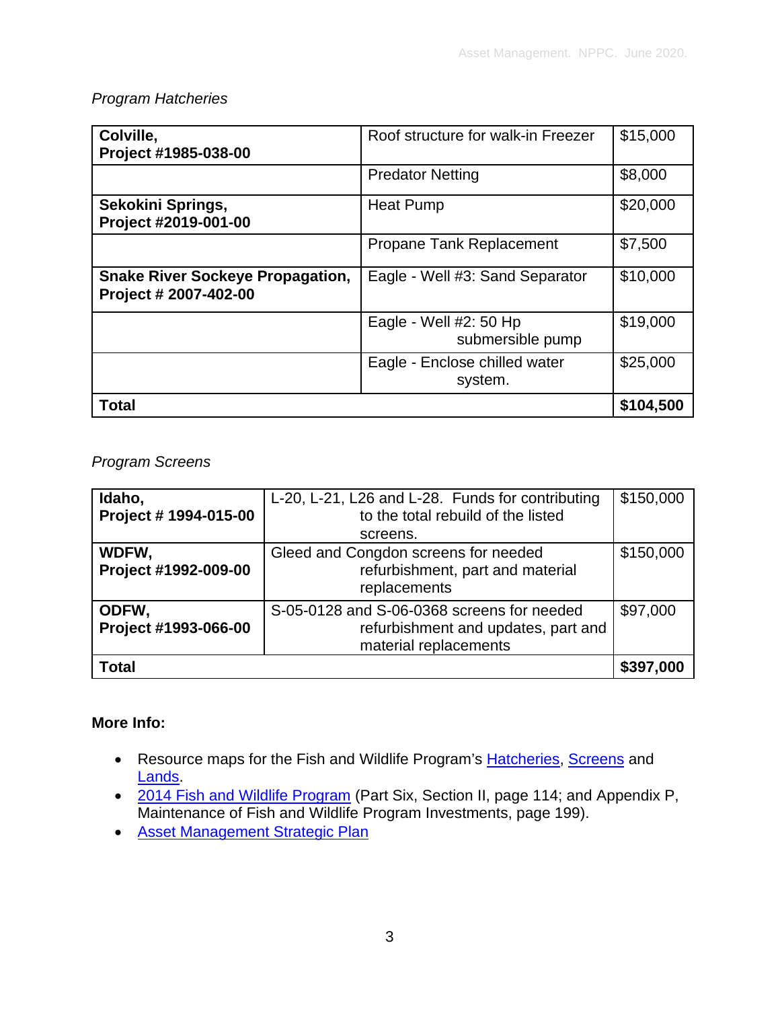#### *Program Hatcheries*

| Colville,<br>Project #1985-038-00                                | Roof structure for walk-in Freezer          | \$15,000  |
|------------------------------------------------------------------|---------------------------------------------|-----------|
|                                                                  | <b>Predator Netting</b>                     | \$8,000   |
| Sekokini Springs,<br>Project #2019-001-00                        | <b>Heat Pump</b>                            | \$20,000  |
|                                                                  | <b>Propane Tank Replacement</b>             | \$7,500   |
| <b>Snake River Sockeye Propagation,</b><br>Project # 2007-402-00 | Eagle - Well #3: Sand Separator             | \$10,000  |
|                                                                  | Eagle - Well $#2:50$ Hp<br>submersible pump | \$19,000  |
|                                                                  | Eagle - Enclose chilled water<br>system.    | \$25,000  |
| <b>Total</b>                                                     |                                             | \$104,500 |

*Program Screens*

| Idaho,<br>Project # 1994-015-00 | L-20, L-21, L26 and L-28. Funds for contributing<br>to the total rebuild of the listed                     | \$150,000 |
|---------------------------------|------------------------------------------------------------------------------------------------------------|-----------|
|                                 | screens.                                                                                                   |           |
| WDFW,<br>Project #1992-009-00   | Gleed and Congdon screens for needed<br>refurbishment, part and material<br>replacements                   | \$150,000 |
| ODFW,<br>Project #1993-066-00   | S-05-0128 and S-06-0368 screens for needed<br>refurbishment and updates, part and<br>material replacements | \$97,000  |
| <b>Total</b>                    |                                                                                                            |           |

#### **More Info:**

- Resource maps for the Fish and Wildlife Program's [Hatcheries,](https://app.nwcouncil.org/ext/maps/APPrograms/) [Screens](https://app.nwcouncil.org/ext/maps/FSPrograms/) and [Lands.](https://app.nwcouncil.org/ext/maps/Landsprogram/)
- [2014 Fish and Wildlife Program](https://www.nwcouncil.org/fw/program/2014-12/program/) (Part Six, Section II, page 114; and Appendix P, Maintenance of Fish and Wildlife Program Investments, page 199).
- [Asset Management Strategic Plan](https://nwcouncil.box.com/s/tv8ct47vzz58v8smuuzi53z7u5fanx9l)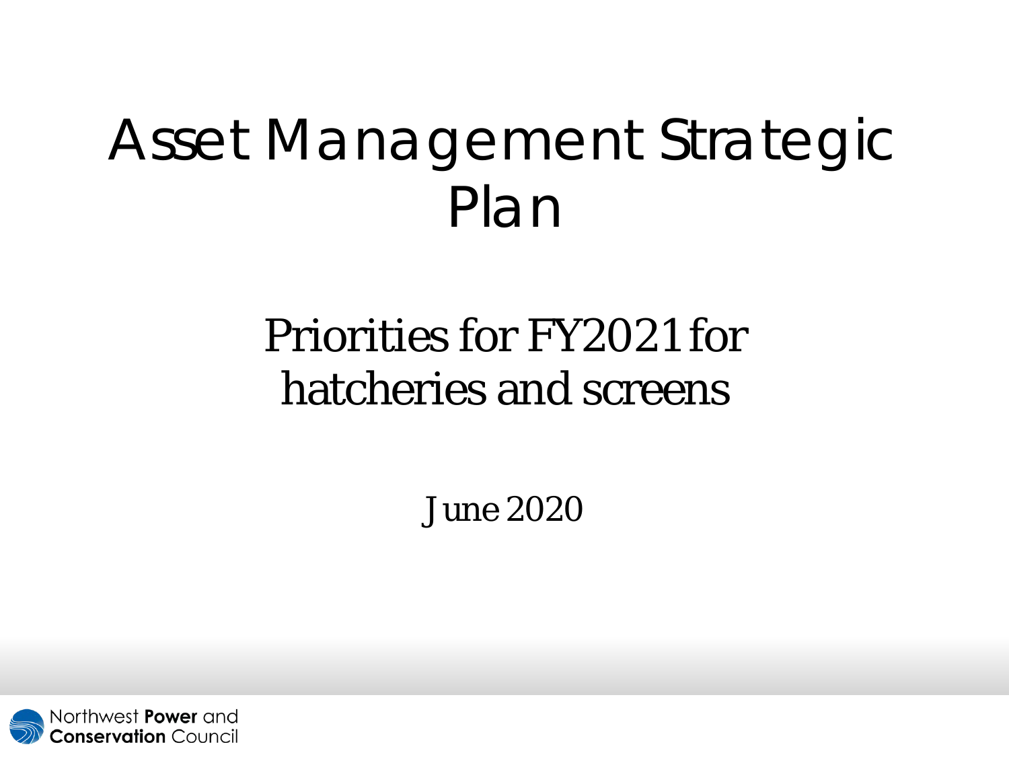# Asset Management Strategic Plan

## Priorities for FY2021 for hatcheries and screens

June 2020

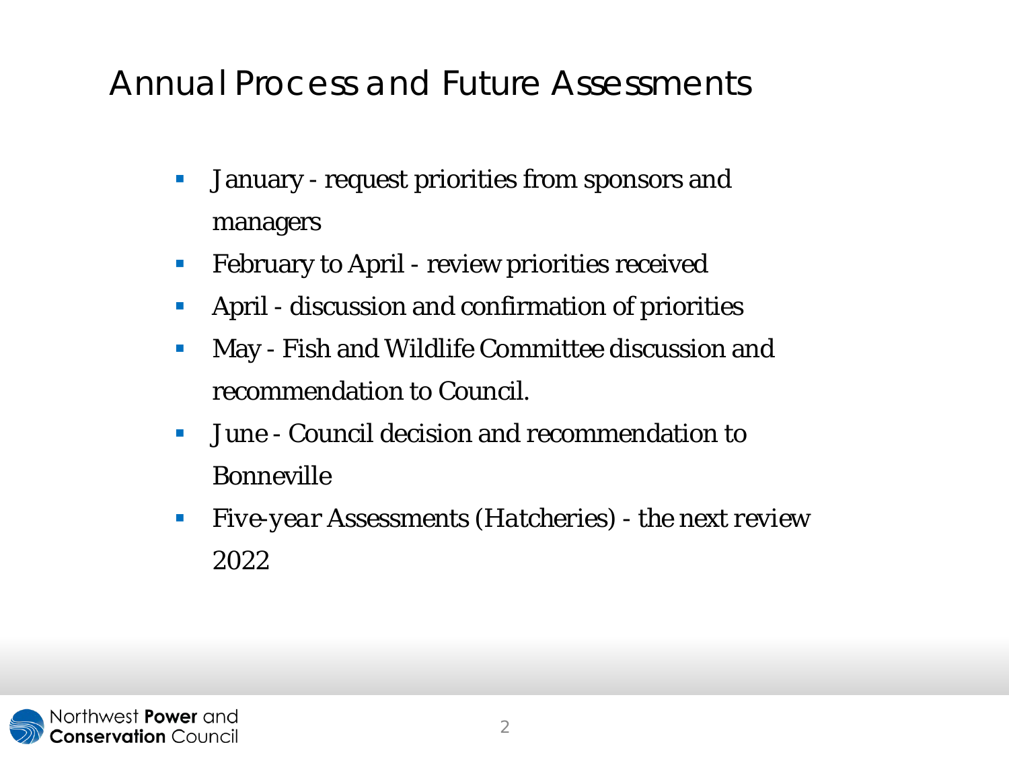### Annual Process and *Future Assessments*

- **January request priorities from sponsors and** managers
- **February to April review priorities received**
- April discussion and confirmation of priorities
- **May Fish and Wildlife Committee discussion and** recommendation to Council.
- **June Council decision and recommendation to** Bonneville
- *Five-year Assessments (Hatcheries) - the next review 2022*

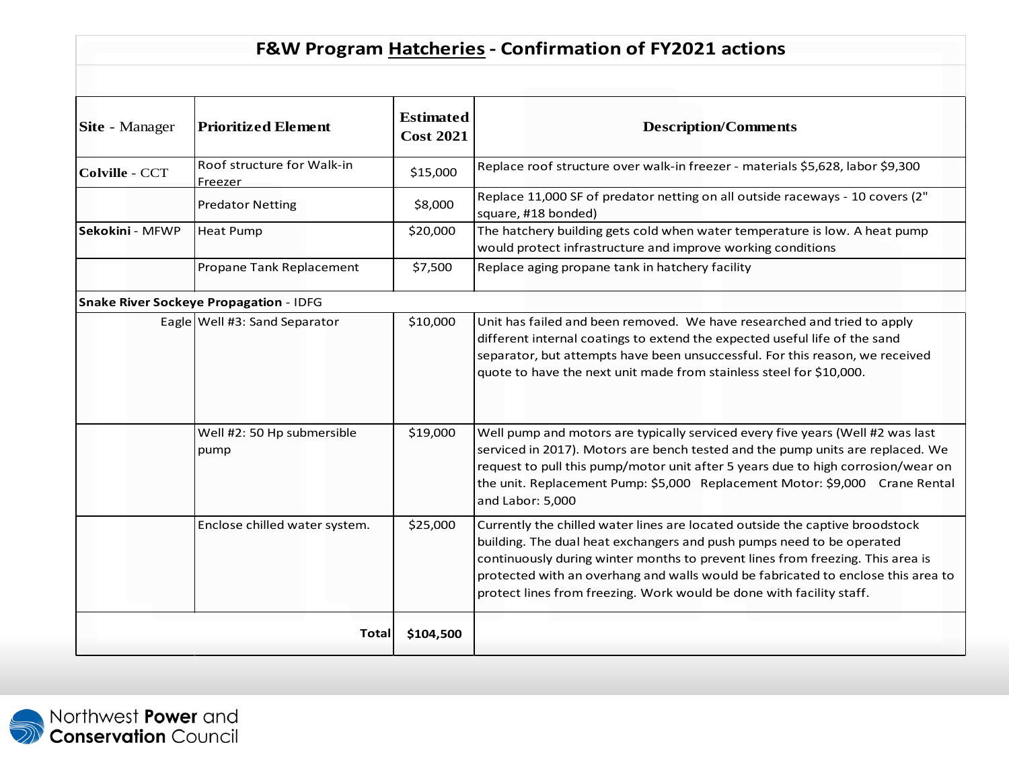#### **F&W Program Hatcheries- Confirmation of FY2021 actions**

| <b>Site</b> - Manager | <b>Prioritized Element</b>             | <b>Estimated</b><br><b>Cost 2021</b> | <b>Description/Comments</b>                                                                                                                                                                                                                                                                                                                                                                         |
|-----------------------|----------------------------------------|--------------------------------------|-----------------------------------------------------------------------------------------------------------------------------------------------------------------------------------------------------------------------------------------------------------------------------------------------------------------------------------------------------------------------------------------------------|
| Colville - CCT        | Roof structure for Walk-in<br>Freezer  | \$15,000                             | Replace roof structure over walk-in freezer - materials \$5,628, labor \$9,300                                                                                                                                                                                                                                                                                                                      |
|                       | <b>Predator Netting</b>                | \$8,000                              | Replace 11,000 SF of predator netting on all outside raceways - 10 covers (2"<br>square, #18 bonded)                                                                                                                                                                                                                                                                                                |
| Sekokini - MFWP       | <b>Heat Pump</b>                       | \$20,000                             | The hatchery building gets cold when water temperature is low. A heat pump<br>would protect infrastructure and improve working conditions                                                                                                                                                                                                                                                           |
|                       | Propane Tank Replacement               | \$7,500                              | Replace aging propane tank in hatchery facility                                                                                                                                                                                                                                                                                                                                                     |
|                       | Snake River Sockeye Propagation - IDFG |                                      |                                                                                                                                                                                                                                                                                                                                                                                                     |
|                       | Eagle Well #3: Sand Separator          | \$10,000                             | Unit has failed and been removed. We have researched and tried to apply<br>different internal coatings to extend the expected useful life of the sand<br>separator, but attempts have been unsuccessful. For this reason, we received<br>quote to have the next unit made from stainless steel for \$10,000.                                                                                        |
|                       | Well #2: 50 Hp submersible<br>pump     | \$19,000                             | Well pump and motors are typically serviced every five years (Well #2 was last<br>serviced in 2017). Motors are bench tested and the pump units are replaced. We<br>request to pull this pump/motor unit after 5 years due to high corrosion/wear on<br>the unit. Replacement Pump: \$5,000 Replacement Motor: \$9,000 Crane Rental<br>and Labor: 5,000                                             |
|                       | Enclose chilled water system.          | \$25,000                             | Currently the chilled water lines are located outside the captive broodstock<br>building. The dual heat exchangers and push pumps need to be operated<br>continuously during winter months to prevent lines from freezing. This area is<br>protected with an overhang and walls would be fabricated to enclose this area to<br>protect lines from freezing. Work would be done with facility staff. |
| Total<br>\$104,500    |                                        |                                      |                                                                                                                                                                                                                                                                                                                                                                                                     |